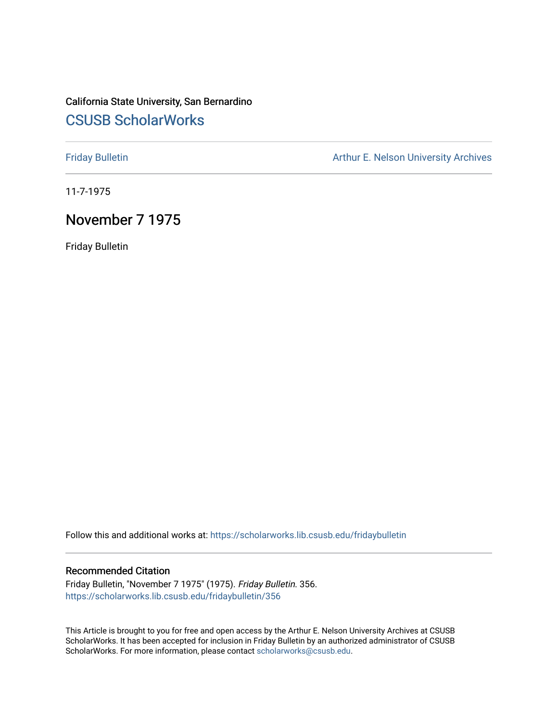# California State University, San Bernardino [CSUSB ScholarWorks](https://scholarworks.lib.csusb.edu/)

[Friday Bulletin](https://scholarworks.lib.csusb.edu/fridaybulletin) **Arthur E. Nelson University Archives** Arthur E. Nelson University Archives

11-7-1975

## November 7 1975

Friday Bulletin

Follow this and additional works at: [https://scholarworks.lib.csusb.edu/fridaybulletin](https://scholarworks.lib.csusb.edu/fridaybulletin?utm_source=scholarworks.lib.csusb.edu%2Ffridaybulletin%2F356&utm_medium=PDF&utm_campaign=PDFCoverPages)

## Recommended Citation

Friday Bulletin, "November 7 1975" (1975). Friday Bulletin. 356. [https://scholarworks.lib.csusb.edu/fridaybulletin/356](https://scholarworks.lib.csusb.edu/fridaybulletin/356?utm_source=scholarworks.lib.csusb.edu%2Ffridaybulletin%2F356&utm_medium=PDF&utm_campaign=PDFCoverPages)

This Article is brought to you for free and open access by the Arthur E. Nelson University Archives at CSUSB ScholarWorks. It has been accepted for inclusion in Friday Bulletin by an authorized administrator of CSUSB ScholarWorks. For more information, please contact [scholarworks@csusb.edu.](mailto:scholarworks@csusb.edu)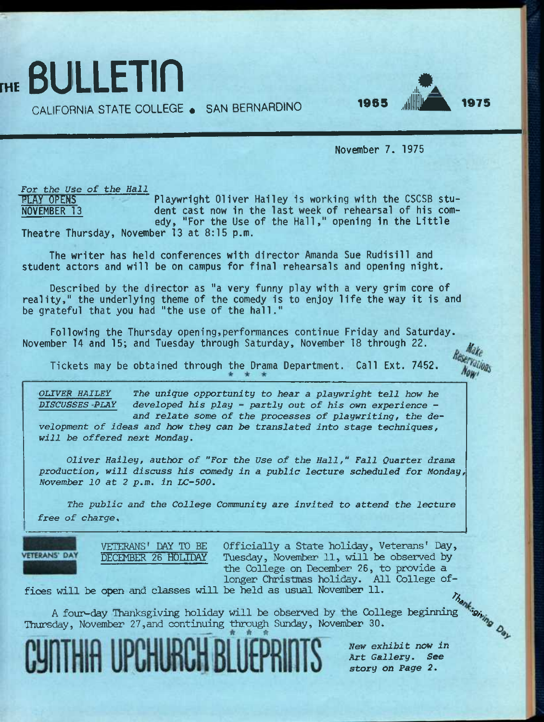**FHE BULLETin ...** 

CALIFORNIA STATE COLLEGE . SAN BERNARDINO



November 7. 1975

*For the Use of the Hall* **PLAY OPENS** Play wright Oliver Hailey is working with the CSCSB student cast now in the last week of rehearsal of his comedy, "For the Use of the Hall," opening in the Little NOVEMBER 13 Theatre Thursday, November 13 at 8:15 p.m.

The writer has held conferences with director Amanda Sue Rudisill and student actors and will be on campus for final rehearsals and opening night.

Described by the director as "a very funny play with a very grim core of reality," the underlying theme of the comedy is to enjoy life the way it is and be grateful that you had "the use of the hall."

Following the Thursday opening,performances continue Friday and Saturday. November 14 and 15; and Tuesday through Saturday, November 18 through 22.

Tickets may be obtained through the Drama Department. Call Ext. 7452.

*OLIVER HAILEY DISCUSSES -FLAY The unique opportunity to hear a playwright tell how he developed his play - partly out of his own experience and relate some of the processes of playwriting, the de-*

*velopment of ideas and how they can be translated into stage techniques, will be offered next Monday,* 

*Oliver Hailey, author of "For the Use of the Hall," Fall Quarter drama production, will discuss his comedy in a public lecture scheduled for Monday, November 10 at 2 p,m. in LC-500,* 

*The public and the College Community are invited to attend the lecture free of charge.* 

VETERANS' DAY

**VETERANS' DAY TO BE DECEMBER 26 HOLTDAY** 

**Officially a State holiday. Veterans' Day, Tuesday, November 11, will be observed by the College on December 26, to provide a longer Christmas holiday. All College of-**

**fices will be open and classes will be held as usual November 11,** 

**A four-day Thanksgiving holiday will be observed by the College beginning**  Thursday, November 27, and continuing through Sunday, November 30.

INTHIA UPCHURCH BLUEPRI

*New exhibit now in Art Gallery. See*  **story on** *Page 2,* 

 $\frac{h_{\text{max}}}{h_{\text{max}}}$ 

 $v_{\rm i}$ 

Vations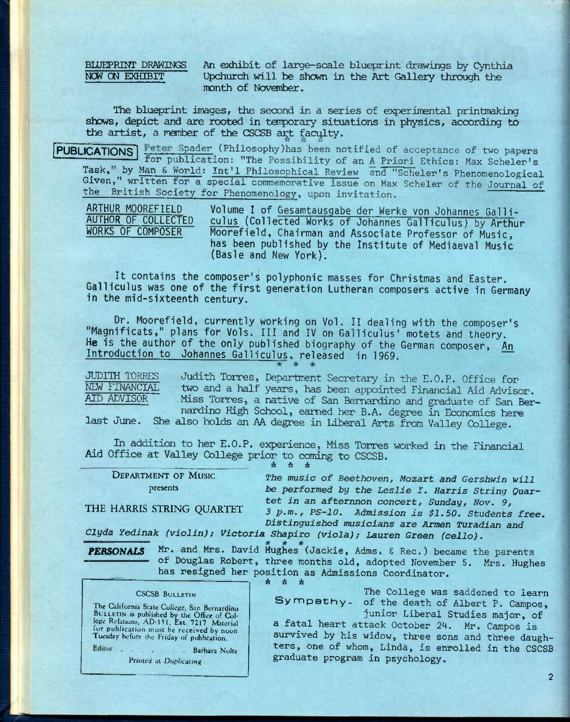BLUEPRINT DRAWINGS An exhibit of large-scale blueprint drawings by Cynthia **NOW ON EXHIBIT** Upchurch will be shown in the Art Gallery through the Upchurch will be shown in the Art Gallery through the **month of November.** 

The blueprint images, the second in a series of experimental printmaking **shows, depict and are rooted in tarporary situations in physics, according to**  the artist, a member of the CSCSB art faculty.

**PUBLICATIONS** Peter Spader (Philosophy)has been notified of acceptance of two papers **1 for publication: "The Possibility of an A Priori Ethics: Max Scheler's**  Task, by <u>Man & World</u>: Int'l Philosophical Review and "Scheler's Phenomenological **Given," written for a special commemorative issue on Max Scheler of the Journal of the British Society for Phenomenology, upon invitation. ~** 

ARTHUR MOOREFIELD AUTHOR OF COLLECTED WORKS OF COMPOSER

Volume I of Gesamtausgabe der Werke von Johannes Gallic"1us (Collected Works of Johannes Galliculus) **by** Arthur Moorefield, Chairman and Associate Professor of Music, has been published by the Institute of Mediaeval Music (Basle and New York).

It contains the composer's polyphonic masses for Christmas and Easter. Galliculus was one of the first generation Lutheran composers active in Germany in the mid-sixteenth century.

Dr. Moorefield, currently working on Vol. II dealing with the composer's "Magnificats," plans for Vols. Ill and IV on Galliculus' motets and theory. **He** is the author of the only published biography of the German composer. An Introduction to Johannes Galliculus. released in 1969. —

**JUDITH TORRES NEW FINANCIAL AID ADVISOR Judith Torres, Department Secretary in the E.G.P. Office for**  two and a half years, has been appointed Financial Aid Advisor. **Miss Torres, a native of San Bernardino and graduate of San Bernardino High School, earned her B.A. degree in Economics here** 

**last June. She also holds an AA degree in Liberal Arts** *from* **Valley College.** 

**In addition to her E.O.P. experience. Miss Torres worked in the Financial Aid Office at Valley College prior to caning to CSCSB.** 

DEPARTMENT OF MUSIC presents

ft ft ft

The music of Beethoven, Mozart and Gershwin will be performed by the Leslie I. Harris String Quar**tet** *in an afternnon concert, Sunday, Nov. 9, 3 p.m., PS-10, Admission is \$1.50. Students free.* 

THE HARRIS STRING QUARTET

*Distinguished musicians are Armen Turadian and* 

*Clyda Yedinak (violin); Victoria Shapiro (viola); Lauren Green (cello).* 

*FEBSONALS* **Mr. and Mrs. David Hughes (Jackie, Adms, £ Rec.) became the parents of Douglas Robert, three months old, adopted November 5. Mrs. Hughes**  has resigned her position as Admissions Coordinator.<br> **has resigned her position as Admissions Coordinator.** 

### CSCSB BULLETIN

**" ft ft ft** 

The California State College, San Bernardino BULLETIN is published by the Office of Col-lege Relations, AD-151. Ext. 7217. Material lur publication must be received by noon Tuesday before the Friday of publication.

Editor Barbara Nolte

Printed at Duplicating

**The College was saddened to learn Sympathy- of the death of Albert P. Campos, junior Liberal Studies major, of** 

**a fatal heart attack October 24. Mr, Campos is survived by his widow, three sons and three daughters, one of whom, Linda, is enrolled in the CSCSB graduate program in psychology.**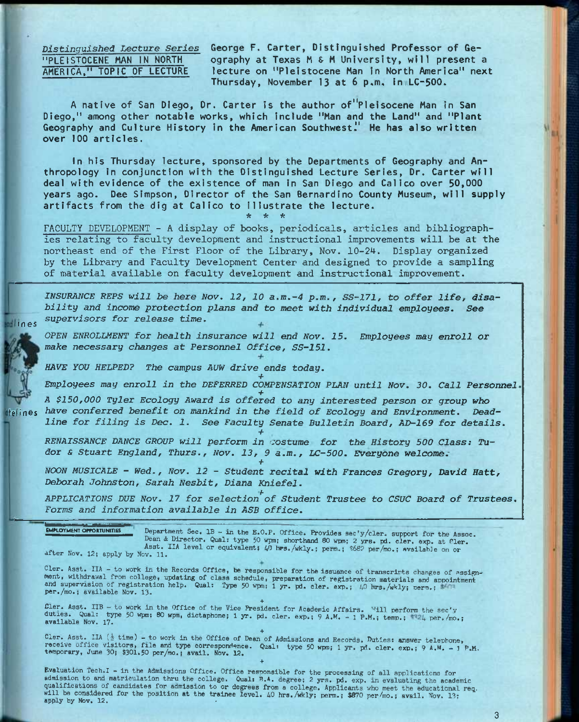*Distinguished Lecture Series* George F. Carter, Distinguished Professor of Ge- TPLEISTOCENE MAN IN NORTH ography at Texas M & M University, will present a<br>AMERICA," TOPIC OF LECTURE lecture on "Pleistocene Man in North America" next lecture on "Pleistocene Man In North America" next Thursday, November 13 at 6 p,m. In LC-500.

A native of San Diego, Dr. Carter Is the author of"Plelsocene Man In San Diego," among other notable works, which Include "Man and the Land" and "Plant Geography and Culture History in the American Southwest." He has also written over 100 articles.

In his Thursday lecture, sponsored by the Departments of Geography and Anthropology In conjunction with the Distinguished Lecture Series, Dr. Carter will deal with evidence of the existence of man In San Diego and Calico over 50,000 years ago. Dee Simpson, Director of the San Bernardino County Museum, will supply artifacts from the dig at Calico to illustrate the lecture. *\* \* -k* 

**FACULTY DEVELOPMENT - A display of books, periodicals, articles and bibliographies relating to faculty development and instructional improvements will be at the northeast end of the First Floor of the Library, Nov. 10-24. Display organized by the Library and Faculty Development Center and designed to provide a sampling of material available on faculty development and instructional improvement.** 

*INSURANCE REPS will be here Nov, 12, 10* a.m.-4 *p.m., SS-171, to offer life, disability and income protection plans and to meet with individual employees. See supervisors for release time.* 

*OPEN ENROLLMENT for health insurance will end Nov. 15. Employees may enroll or make* **necessary** *changes at Personnel Office, SS-151,* 

*HAVE YOU HELPED? The campus AUW drive ends today.* 

Employees may enroll in the DEFERRED COMPENSATION PLAN until Nov. 30. Call Personnel.

*+ A \$150,000 Tyler Ecology Award is offered to any interested person or group who felines have conferred benefit on mankind in the field of Ecology and Environment. Deadline for filing is Dec. 1. See Faculty Senate Bulletin Board, AD-169 for details.* 

*+ RENAISSANCE DANCE GROUP will perform in costume for the History 500 Class: Tudor s Stuart England, Thurs., Nov. 13, 9 a.m., LC-500. Everyone welcomes* 

*+* 

*NOON MUSICALE - Wed., Nov. 12 - Student recital with Frances Gregory, David Hatt, Deborah Johnston, Sarah Nesbit, Diana Kniefel.* 

*APPLICATIONS DUE Nov. 17 for selection^of Student Trustee to CSUC Board of Trustees. Forms and information available in ASB office.* 

EMPLOYMENT OPPORTUNITIES Department Sec. 1B - in the E.O.P. Office. Provides sec'y/cler. support for the Assoc. Dean & Director. Qual: type 50 wpm; shorthand 80 wpm; 2 yrs. pd. cler. exp. at Cler. Asst. IIA level or equivalent; 40 hrs./wkly.; perm.; %68? per/mo.; available on or

after Nov. 12; apply by Nov. 11.

Cler. Asst. IIA - to work in the Records Office, be responsible for the issuance of transcripts changes of assignment, withdrawal from college, updating of class schedule, preparation of registration materials and appointment<br>and supervision of registration help. Qual: Type 50 wpm; 1 yr. pd. cler. exp.; 40 hrs./wkly; perm.;<br>per./mo.;

**+**  Cler. Asst. IIB - to work In the Office of the Vice President for Academic Affairs, '''ill perform the sec'y duties. Qual: type 50 wpm; 80 wpm, dictaphone; 1 yr. pd. cler. exp.; 9 A.M. - 1 P.M.; temp.; \*\*\* per./mo.; available Nov. 17.

Cler. Asst. IIA ( $\frac{1}{2}$  time) - to work in the Office of Dean of Admissions and Records. Duties: answer telephone,<br>receive office visitors, file and type correspondence. Qual: type 50 wpm; 1 yr. pd. cler. exp.; 9 A.M. -**+** 

Evaluation Tech.I - in the Admissions Office. Office responsible for the processing of all applications for admission to and matriculation thru the college. Qual: B.4. degree; 2 yrs. pd. exp. in evaluating the academic qualifications of candidates for admission to or degrees from a college. Applicants who meet the educational req.<br>will be considered for the position at the trainee level. 40 hrs./wkly; perm.; \$870 per/mo.; avail. Nov. 13;



tilines